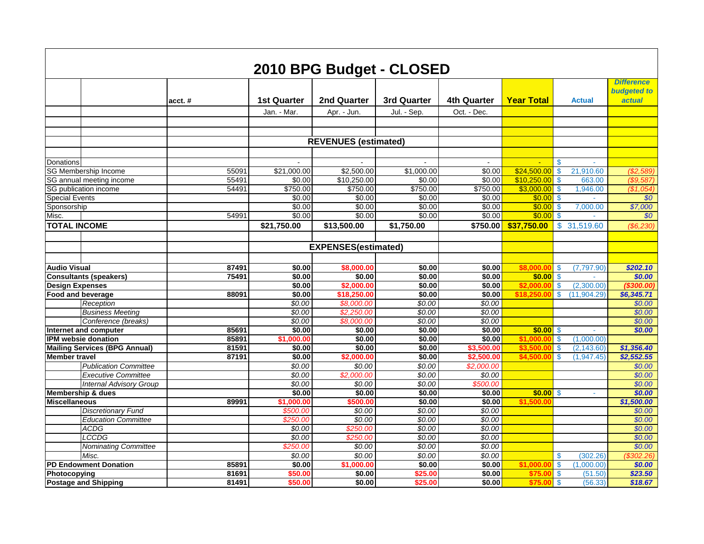|                                                                |           |                    |                             | 2010 BPG Budget - CLOSED |                    |                             |                                        |                                                   |
|----------------------------------------------------------------|-----------|--------------------|-----------------------------|--------------------------|--------------------|-----------------------------|----------------------------------------|---------------------------------------------------|
|                                                                | $acct.$ # | <b>1st Quarter</b> | 2nd Quarter                 | 3rd Quarter              | <b>4th Quarter</b> | <b>Year Total</b>           | <b>Actual</b>                          | <b>Difference</b><br><b>budgeted to</b><br>actual |
|                                                                |           | Jan. - Mar.        | Apr. - Jun.                 | Jul. - Sep.              | Oct. - Dec.        |                             |                                        |                                                   |
|                                                                |           |                    |                             |                          |                    |                             |                                        |                                                   |
|                                                                |           |                    |                             |                          |                    |                             |                                        |                                                   |
|                                                                |           |                    | <b>REVENUES</b> (estimated) |                          |                    |                             |                                        |                                                   |
|                                                                |           |                    |                             |                          |                    |                             |                                        |                                                   |
| Donations                                                      |           | $\sim$             |                             | $\blacksquare$           | $\mathbf{r}$       | $\mathcal{L}_{\mathcal{C}}$ | $\mathbf{\$}$<br>$\sim$                |                                                   |
| SG Membership Income                                           | 55091     | \$21,000.00        | \$2,500.00                  | \$1,000.00               | \$0.00             | \$24,500.00                 | 21,910.60<br>$\boldsymbol{\mathsf{s}}$ | (S2,589)                                          |
| SG annual meeting income                                       | 55491     | \$0.00             | \$10,250.00                 | \$0.00                   | \$0.00             | \$10,250.00                 | 663.00<br>S                            | (\$9,587                                          |
| SG publication income                                          | 54491     | \$750.00           | \$750.00                    | \$750.00                 | \$750.00           | \$3,000.00                  | 1,946.00<br>\$                         | (\$1,054]                                         |
| <b>Special Events</b>                                          |           | \$0.00             | \$0.00                      | \$0.00                   | \$0.00             | \$0.00                      | $\boldsymbol{\mathsf{S}}$              | \$0                                               |
| Sponsorship                                                    |           | \$0.00             | \$0.00                      | \$0.00                   | \$0.00             | \$0.00                      | $\mathbf{\$}$<br>7,000.00              | \$7,000                                           |
| Misc.                                                          | 54991     | \$0.00             | \$0.00                      | \$0.00                   | \$0.00             | \$0.00                      | $\mathsf{\$}$                          | \$0                                               |
| <b>TOTAL INCOME</b>                                            |           | \$21,750.00        | \$13,500.00                 | \$1,750.00               | \$750.00           | \$37,750.00                 | \$<br>31,519.60                        | (\$6,230)                                         |
|                                                                |           |                    |                             |                          |                    |                             |                                        |                                                   |
|                                                                |           |                    | <b>EXPENSES(estimated)</b>  |                          |                    |                             |                                        |                                                   |
|                                                                |           |                    |                             |                          |                    |                             |                                        |                                                   |
| <b>Audio Visual</b>                                            | 87491     | \$0.00             | \$8,000.00                  | \$0.00                   | \$0.00             | \$8,000.00                  | (7, 797.90)<br>$\mathbf{\$}$           | \$202.10                                          |
| <b>Consultants (speakers)</b>                                  | 75491     | \$0.00             | \$0.00                      | \$0.00                   | \$0.00             | \$0.00                      | $\mathsf{\$}$                          | \$0.00                                            |
| <b>Design Expenses</b>                                         |           | \$0.00             | \$2,000.00                  | \$0.00                   | \$0.00             | \$2,000.0                   | (2,300.00)<br>S.                       | (\$300.00)                                        |
| Food and beverage                                              | 88091     | \$0.00             | \$18,250.00                 | \$0.00                   | \$0.00             | \$18,250.0                  | $\mathbf{\$}$<br>(11,904.29)           | \$6,345.71                                        |
| Reception                                                      |           | \$0.00             | \$8,000.00                  | \$0.00                   | \$0.00             |                             |                                        | \$0.00                                            |
| <b>Business Meeting</b>                                        |           | \$0.00             | \$2,250.00                  | \$0.00                   | \$0.00             |                             |                                        | \$0.00                                            |
| Conference (breaks)                                            |           | \$0.00             | \$8,000.00                  | \$0.00                   | \$0.00             |                             |                                        | \$0.00                                            |
| Internet and computer                                          | 85691     | \$0.00             | \$0.00                      | \$0.00                   | \$0.00             | \$0.00                      | $\boldsymbol{\mathsf{S}}$              | \$0.00                                            |
| IPM websie donation                                            | 85891     | \$1,000.00         | \$0.00                      | \$0.00                   | \$0.00             | \$1,000.0                   | $\sqrt[6]{3}$<br>(1,000.00)            |                                                   |
| <b>Mailing Services (BPG Annual)</b>                           | 81591     | \$0.00             | \$0.00                      | \$0.00                   | \$3,500.00         | \$3.500.0                   | $\bullet$<br>(2, 143.60)               | \$1,356.40                                        |
| <b>Member travel</b>                                           | 87191     | \$0.00             | \$2,000.00                  | \$0.00                   | \$2,500.00         | \$4,500.0                   | $\mathbf{\$}$<br>(1,947.45)            | \$2,552.55                                        |
| <b>Publication Committee</b>                                   |           | \$0.00             | \$0.00                      | \$0.00                   | \$2.000.00         |                             |                                        | \$0.00                                            |
| <b>Executive Committee</b>                                     |           | \$0.00<br>\$0.00   | \$2,000.00<br>\$0.00        | \$0.00<br>\$0.00         | \$0.00             |                             |                                        | \$0.00                                            |
| <b>Internal Advisory Group</b><br><b>Membership &amp; dues</b> |           | \$0.00             | \$0.00                      | \$0.00                   | \$500.00<br>\$0.00 | \$0.00                      | -\$<br>a.                              | \$0.00<br>\$0.00                                  |
| <b>Miscellaneous</b>                                           | 89991     | \$1,000.00         | \$500.00                    | \$0.00                   | \$0.00             | \$1,500.00                  |                                        | \$1,500.00                                        |
| <b>Discretionary Fund</b>                                      |           | \$500.00           | \$0.00                      | \$0.00                   | \$0.00             |                             |                                        | \$0.00                                            |
| <b>Education Committee</b>                                     |           | \$250.00           | \$0.00                      | \$0.00                   | \$0.00             |                             |                                        | \$0.00                                            |
| <b>ACDG</b>                                                    |           | \$0.00             | \$250.00                    | \$0.00                   | \$0.00             |                             |                                        | \$0.00                                            |
| <b>LCCDG</b>                                                   |           | \$0.00             | \$250.00                    | \$0.00                   | \$0.00             |                             |                                        | \$0.00                                            |
| <b>Nominating Committee</b>                                    |           | \$250.00           | \$0.00                      | \$0.00                   | \$0.00             |                             |                                        | \$0.00                                            |
| Misc.                                                          |           | \$0.00             | \$0.00                      | \$0.00                   | \$0.00             |                             | $\boldsymbol{\mathsf{S}}$<br>(302.26)  | (\$302.26)                                        |
| <b>PD Endowment Donation</b>                                   | 85891     | \$0.00             | \$1,000.00                  | \$0.00                   | \$0.00             | \$1,000.0                   | $\mathbf{\$}$<br>(1,000.00)            | \$0.00                                            |
| Photocopying                                                   | 81691     | \$50.00            | \$0.00                      | \$25.00                  | \$0.00             | \$75.0                      | $\mathsf{\$}$<br>(51.50)               | \$23.50                                           |
| <b>Postage and Shipping</b>                                    | 81491     | \$50.00            | \$0.00                      | \$25.00                  | \$0.00             | \$75.0                      | \$<br>(56.33)                          | \$18.67                                           |